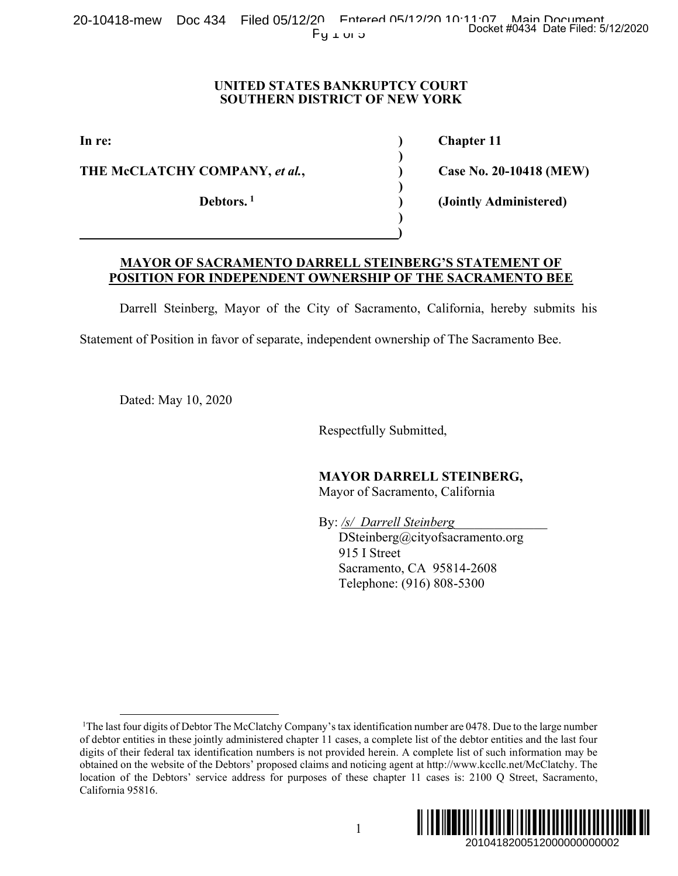### UNITED STATES BANKRUPTCY COURT SOUTHERN DISTRICT OF NEW YORK

THE McCLATCHY COMPANY, et al.,  $\qquad \qquad$  (ase No. 20-10418 (MEW)

 $\overline{\phantom{a}}$ 

 $\overline{\phantom{a}}$ 

 $\overline{\phantom{a}}$  $\hspace{.5em}$   $\hspace{.5em}$   $\hspace{.5em}$   $\hspace{.5em}$   $\hspace{.5em}$   $\hspace{.5em}$   $\hspace{.5em}$   $\hspace{.5em}$   $\hspace{.5em}$   $\hspace{.5em}$   $\hspace{.5em}$   $\hspace{.5em}$   $\hspace{.5em}$   $\hspace{.5em}$   $\hspace{.5em}$   $\hspace{.5em}$   $\hspace{.5em}$   $\hspace{.5em}$   $\hspace{.5em}$   $\hspace{.5em}$ 

In re: (a) Chapter 11

Debtors.<sup>1</sup> (Jointly Administered)

### MAYOR OF SACRAMENTO DARRELL STEINBERG'S STATEMENT OF POSITION FOR INDEPENDENT OWNERSHIP OF THE SACRAMENTO BEE

Darrell Steinberg, Mayor of the City of Sacramento, California, hereby submits his

Statement of Position in favor of separate, independent ownership of The Sacramento Bee.

Dated: May 10, 2020

Respectfully Submitted,

### MAYOR DARRELL STEINBERG,

Mayor of Sacramento, California

By: /s/ Darrell Steinberg DSteinberg@cityofsacramento.org 915 I Street Sacramento, CA 95814-2608 Telephone: (916) 808-5300

<sup>&</sup>lt;sup>1</sup>The last four digits of Debtor The McClatchy Company's tax identification number are 0478. Due to the large number of debtor entities in these jointly administered chapter 11 cases, a complete list of the debtor entities and the last four digits of their federal tax identification numbers is not provided herein. A complete list of such information may be obtained on the website of the Debtors' proposed claims and noticing agent at http://www.kccllc.net/McClatchy. The location of the Debtors' service address for purposes of these chapter 11 cases is: 2100 Q Street, Sacramento, California 95816. Docket #0434 Date Filed: 5/12/2020<br>
2010-10418 (MEW)<br>
2010-10418 (MEW)<br>
2010-10418 (MEW)<br>
2010-10418 (MEW)<br>
TATEMENT OF<br>
CRAMENTO BEE<br>
mia, hereby submits his<br>
2010-118 Sacramento Bee.<br>
2010-118 Deck, Sacramento.org<br>
2010-

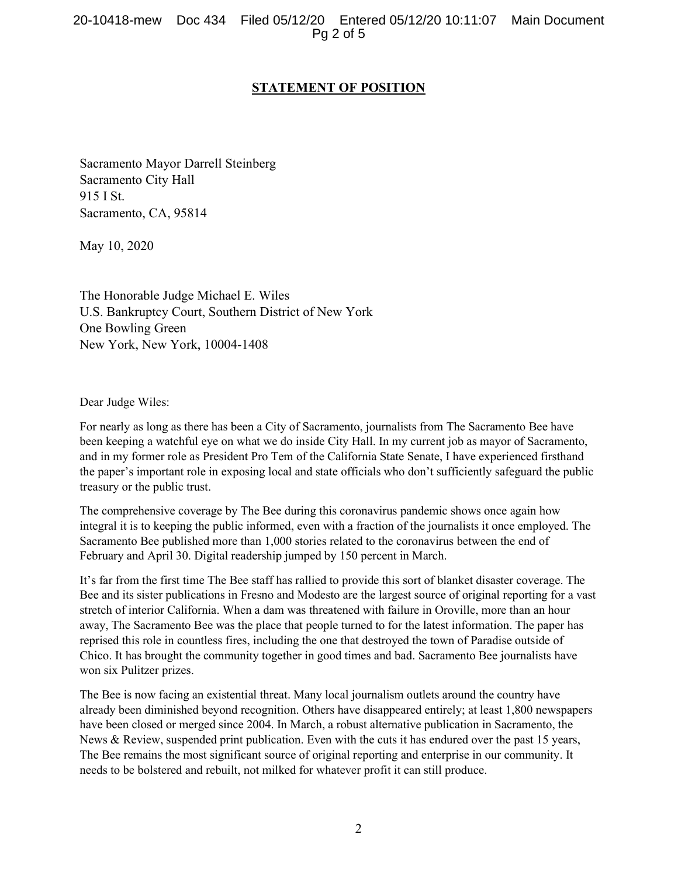## STATEMENT OF POSITION

Sacramento Mayor Darrell Steinberg Sacramento City Hall 915 I St. Sacramento, CA, 95814

May 10, 2020

The Honorable Judge Michael E. Wiles U.S. Bankruptcy Court, Southern District of New York One Bowling Green New York, New York, 10004-1408

Dear Judge Wiles:

For nearly as long as there has been a City of Sacramento, journalists from The Sacramento Bee have been keeping a watchful eye on what we do inside City Hall. In my current job as mayor of Sacramento, and in my former role as President Pro Tem of the California State Senate, I have experienced firsthand the paper's important role in exposing local and state officials who don't sufficiently safeguard the public treasury or the public trust.

The comprehensive coverage by The Bee during this coronavirus pandemic shows once again how integral it is to keeping the public informed, even with a fraction of the journalists it once employed. The Sacramento Bee published more than 1,000 stories related to the coronavirus between the end of February and April 30. Digital readership jumped by 150 percent in March.

It's far from the first time The Bee staff has rallied to provide this sort of blanket disaster coverage. The Bee and its sister publications in Fresno and Modesto are the largest source of original reporting for a vast stretch of interior California. When a dam was threatened with failure in Oroville, more than an hour away, The Sacramento Bee was the place that people turned to for the latest information. The paper has reprised this role in countless fires, including the one that destroyed the town of Paradise outside of Chico. It has brought the community together in good times and bad. Sacramento Bee journalists have won six Pulitzer prizes.

The Bee is now facing an existential threat. Many local journalism outlets around the country have already been diminished beyond recognition. Others have disappeared entirely; at least 1,800 newspapers have been closed or merged since 2004. In March, a robust alternative publication in Sacramento, the News & Review, suspended print publication. Even with the cuts it has endured over the past 15 years, The Bee remains the most significant source of original reporting and enterprise in our community. It needs to be bolstered and rebuilt, not milked for whatever profit it can still produce.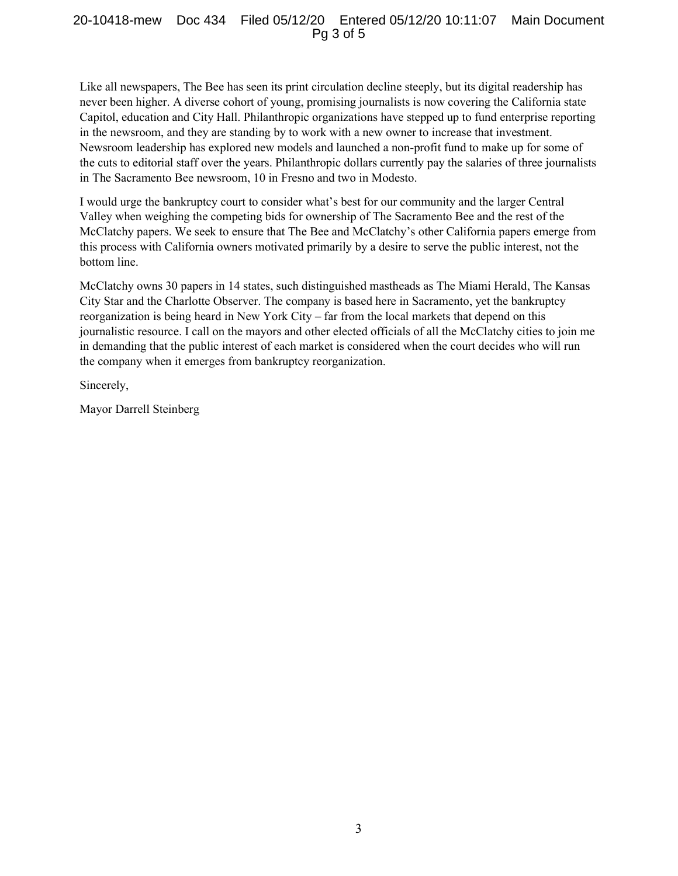### 20-10418-mew Doc 434 Filed 05/12/20 Entered 05/12/20 10:11:07 Main Document Pg 3 of 5

Like all newspapers, The Bee has seen its print circulation decline steeply, but its digital readership has never been higher. A diverse cohort of young, promising journalists is now covering the California state Capitol, education and City Hall. Philanthropic organizations have stepped up to fund enterprise reporting in the newsroom, and they are standing by to work with a new owner to increase that investment. Newsroom leadership has explored new models and launched a non-profit fund to make up for some of the cuts to editorial staff over the years. Philanthropic dollars currently pay the salaries of three journalists in The Sacramento Bee newsroom, 10 in Fresno and two in Modesto.

I would urge the bankruptcy court to consider what's best for our community and the larger Central Valley when weighing the competing bids for ownership of The Sacramento Bee and the rest of the McClatchy papers. We seek to ensure that The Bee and McClatchy's other California papers emerge from this process with California owners motivated primarily by a desire to serve the public interest, not the bottom line.

McClatchy owns 30 papers in 14 states, such distinguished mastheads as The Miami Herald, The Kansas City Star and the Charlotte Observer. The company is based here in Sacramento, yet the bankruptcy reorganization is being heard in New York City – far from the local markets that depend on this journalistic resource. I call on the mayors and other elected officials of all the McClatchy cities to join me in demanding that the public interest of each market is considered when the court decides who will run the company when it emerges from bankruptcy reorganization.

Sincerely,

Mayor Darrell Steinberg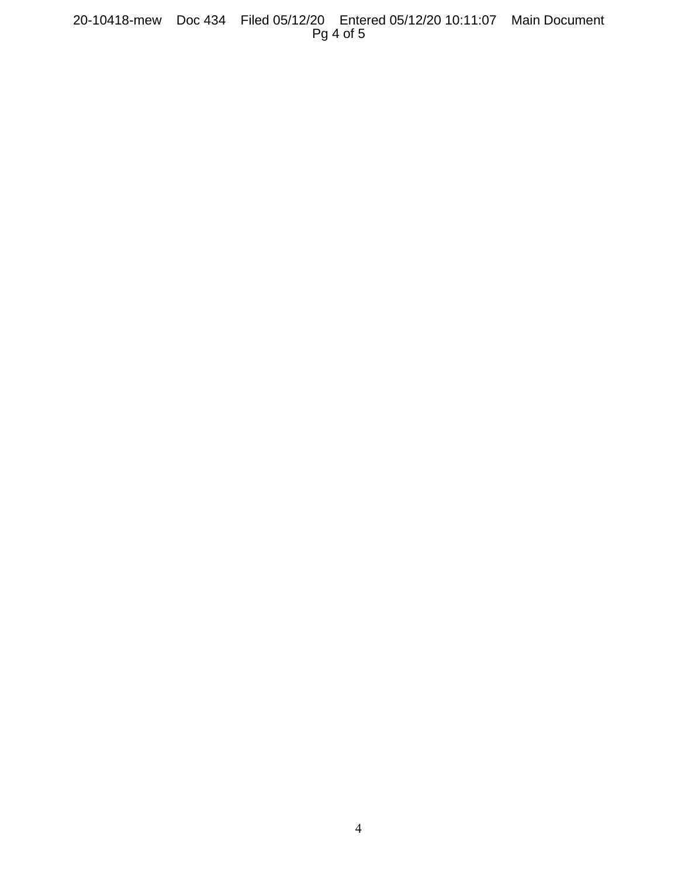20-10418-mew Doc 434 Filed 05/12/20 Entered 05/12/20 10:11:07 Main Document Pg 4 of 5